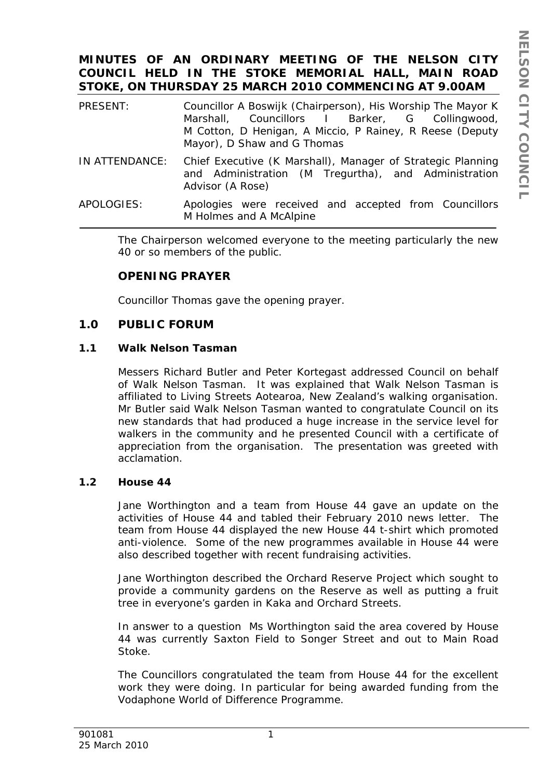# **MINUTES OF AN ORDINARY MEETING OF THE NELSON CITY COUNCIL HELD IN THE STOKE MEMORIAL HALL, MAIN ROAD STOKE, ON THURSDAY 25 MARCH 2010 COMMENCING AT 9.00AM**

| PRESENT:       | Councillor A Boswijk (Chairperson), His Worship The Mayor K<br>Marshall, Councillors I Barker, G Collingwood,<br>M Cotton, D Henigan, A Miccio, P Rainey, R Reese (Deputy<br>Mayor), D Shaw and G Thomas |
|----------------|----------------------------------------------------------------------------------------------------------------------------------------------------------------------------------------------------------|
| IN ATTENDANCE: | Chief Executive (K Marshall), Manager of Strategic Planning<br>and Administration (M Tregurtha), and Administration<br>Advisor (A Rose)                                                                  |

APOLOGIES: Apologies were received and accepted from Councillors M Holmes and A McAlpine

The Chairperson welcomed everyone to the meeting particularly the new 40 or so members of the public.

# **OPENING PRAYER**

Councillor Thomas gave the opening prayer.

# **1.0 PUBLIC FORUM**

### **1.1 Walk Nelson Tasman**

Messers Richard Butler and Peter Kortegast addressed Council on behalf of Walk Nelson Tasman. It was explained that Walk Nelson Tasman is affiliated to Living Streets Aotearoa, New Zealand's walking organisation. Mr Butler said Walk Nelson Tasman wanted to congratulate Council on its new standards that had produced a huge increase in the service level for walkers in the community and he presented Council with a certificate of appreciation from the organisation. The presentation was greeted with acclamation.

### **1.2 House 44**

Jane Worthington and a team from House 44 gave an update on the activities of House 44 and tabled their February 2010 news letter. The team from House 44 displayed the new House 44 t-shirt which promoted anti-violence. Some of the new programmes available in House 44 were also described together with recent fundraising activities.

Jane Worthington described the Orchard Reserve Project which sought to provide a community gardens on the Reserve as well as putting a fruit tree in everyone's garden in Kaka and Orchard Streets.

In answer to a question Ms Worthington said the area covered by House 44 was currently Saxton Field to Songer Street and out to Main Road Stoke.

The Councillors congratulated the team from House 44 for the excellent work they were doing. In particular for being awarded funding from the Vodaphone World of Difference Programme.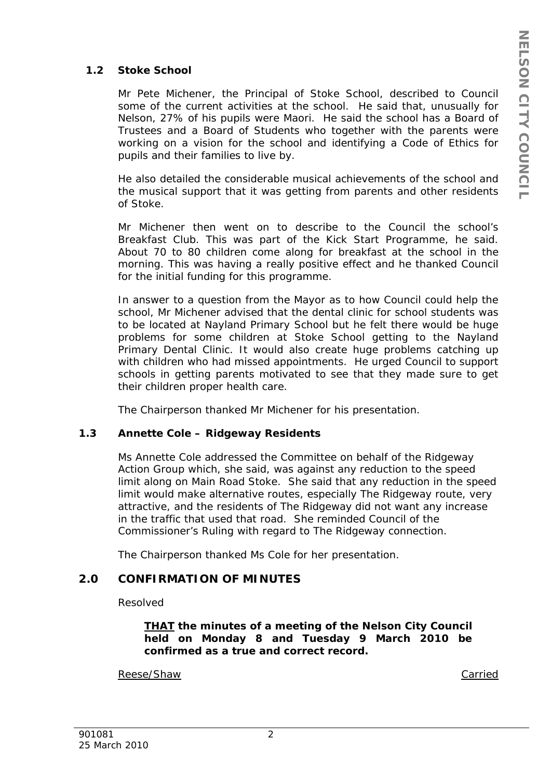# **1.2 Stoke School**

Mr Pete Michener, the Principal of Stoke School, described to Council some of the current activities at the school. He said that, unusually for Nelson, 27% of his pupils were Maori. He said the school has a Board of Trustees and a Board of Students who together with the parents were working on a vision for the school and identifying a Code of Ethics for pupils and their families to live by.

He also detailed the considerable musical achievements of the school and the musical support that it was getting from parents and other residents of Stoke.

Mr Michener then went on to describe to the Council the school's Breakfast Club. This was part of the Kick Start Programme, he said. About 70 to 80 children come along for breakfast at the school in the morning. This was having a really positive effect and he thanked Council for the initial funding for this programme.

In answer to a question from the Mayor as to how Council could help the school, Mr Michener advised that the dental clinic for school students was to be located at Nayland Primary School but he felt there would be huge problems for some children at Stoke School getting to the Nayland Primary Dental Clinic. It would also create huge problems catching up with children who had missed appointments. He urged Council to support schools in getting parents motivated to see that they made sure to get their children proper health care.

The Chairperson thanked Mr Michener for his presentation.

# **1.3 Annette Cole – Ridgeway Residents**

Ms Annette Cole addressed the Committee on behalf of the Ridgeway Action Group which, she said, was against any reduction to the speed limit along on Main Road Stoke. She said that any reduction in the speed limit would make alternative routes, especially The Ridgeway route, very attractive, and the residents of The Ridgeway did not want any increase in the traffic that used that road. She reminded Council of the Commissioner's Ruling with regard to The Ridgeway connection.

The Chairperson thanked Ms Cole for her presentation.

# **2.0 CONFIRMATION OF MINUTES**

Resolved

*THAT the minutes of a meeting of the Nelson City Council held on Monday 8 and Tuesday 9 March 2010 be confirmed as a true and correct record.* 

Reese/Shaw Carried Carried Carried Carried Carried Carried Carried Carried Carried Carried Carried Carried Carried Carried Carried Carried Carried Carried Carried Carried Carried Carried Carried Carried Carried Carried Car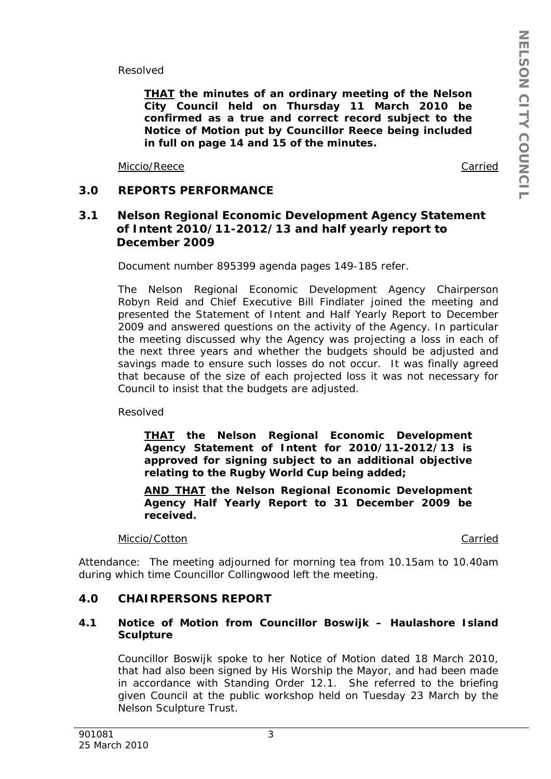Resolved

*THAT the minutes of an ordinary meeting of the Nelson City Council held on Thursday 11 March 2010 be confirmed as a true and correct record subject to the Notice of Motion put by Councillor Reece being included in full on page 14 and 15 of the minutes.* 

Miccio/Reece Carried

# **3.0 REPORTS PERFORMANCE**

# **3.1 Nelson Regional Economic Development Agency Statement of Intent 2010/11-2012/13 and half yearly report to December 2009**

Document number 895399 agenda pages 149-185 refer.

The Nelson Regional Economic Development Agency Chairperson Robyn Reid and Chief Executive Bill Findlater joined the meeting and presented the Statement of Intent and Half Yearly Report to December 2009 and answered questions on the activity of the Agency. In particular the meeting discussed why the Agency was projecting a loss in each of the next three years and whether the budgets should be adjusted and savings made to ensure such losses do not occur. It was finally agreed that because of the size of each projected loss it was not necessary for Council to insist that the budgets are adjusted.

Resolved

*THAT the Nelson Regional Economic Development Agency Statement of Intent for 2010/11-2012/13 is approved for signing subject to an additional objective relating to the Rugby World Cup being added;* 

*AND THAT the Nelson Regional Economic Development Agency Half Yearly Report to 31 December 2009 be received.* 

Miccio/Cotton **Carried** 

Attendance: The meeting adjourned for morning tea from 10.15am to 10.40am during which time Councillor Collingwood left the meeting.

# **4.0 CHAIRPERSONS REPORT**

### **4.1 Notice of Motion from Councillor Boswijk – Haulashore Island Sculpture**

Councillor Boswijk spoke to her Notice of Motion dated 18 March 2010, that had also been signed by His Worship the Mayor, and had been made in accordance with Standing Order 12.1. She referred to the briefing given Council at the public workshop held on Tuesday 23 March by the Nelson Sculpture Trust.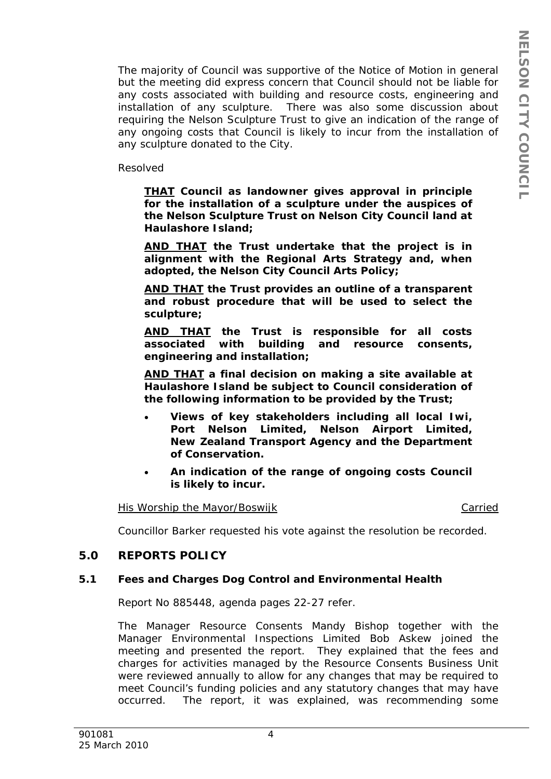The majority of Council was supportive of the Notice of Motion in general but the meeting did express concern that Council should not be liable for any costs associated with building and resource costs, engineering and installation of any sculpture. There was also some discussion about requiring the Nelson Sculpture Trust to give an indication of the range of any ongoing costs that Council is likely to incur from the installation of any sculpture donated to the City.

Resolved

*THAT Council as landowner gives approval in principle for the installation of a sculpture under the auspices of the Nelson Sculpture Trust on Nelson City Council land at Haulashore Island;* 

*AND THAT the Trust undertake that the project is in alignment with the Regional Arts Strategy and, when adopted, the Nelson City Council Arts Policy;* 

*AND THAT the Trust provides an outline of a transparent and robust procedure that will be used to select the sculpture;* 

*AND THAT the Trust is responsible for all costs associated with building and resource consents, engineering and installation;* 

*AND THAT a final decision on making a site available at Haulashore Island be subject to Council consideration of the following information to be provided by the Trust;* 

- *Views of key stakeholders including all local Iwi, Port Nelson Limited, Nelson Airport Limited, New Zealand Transport Agency and the Department of Conservation.*
- *An indication of the range of ongoing costs Council is likely to incur.*

His Worship the Mayor/Boswijk Carried Carried

Councillor Barker requested his vote against the resolution be recorded.

# **5.0 REPORTS POLICY**

# **5.1 Fees and Charges Dog Control and Environmental Health**

Report No 885448, agenda pages 22-27 refer.

The Manager Resource Consents Mandy Bishop together with the Manager Environmental Inspections Limited Bob Askew joined the meeting and presented the report. They explained that the fees and charges for activities managed by the Resource Consents Business Unit were reviewed annually to allow for any changes that may be required to meet Council's funding policies and any statutory changes that may have occurred. The report, it was explained, was recommending some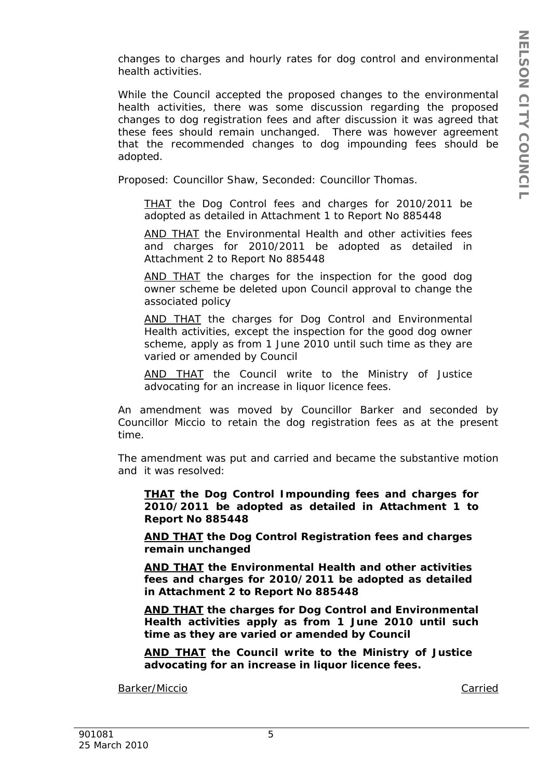changes to charges and hourly rates for dog control and environmental health activities.

While the Council accepted the proposed changes to the environmental health activities, there was some discussion regarding the proposed changes to dog registration fees and after discussion it was agreed that these fees should remain unchanged. There was however agreement that the recommended changes to dog impounding fees should be adopted.

Proposed: Councillor Shaw, Seconded: Councillor Thomas.

*THAT the Dog Control fees and charges for 2010/2011 be adopted as detailed in Attachment 1 to Report No 885448* 

*AND THAT the Environmental Health and other activities fees and charges for 2010/2011 be adopted as detailed in Attachment 2 to Report No 885448* 

*AND THAT the charges for the inspection for the good dog owner scheme be deleted upon Council approval to change the associated policy* 

*AND THAT the charges for Dog Control and Environmental Health activities, except the inspection for the good dog owner scheme, apply as from 1 June 2010 until such time as they are varied or amended by Council* 

*AND THAT the Council write to the Ministry of Justice advocating for an increase in liquor licence fees.*

An amendment was moved by Councillor Barker and seconded by Councillor Miccio to retain the dog registration fees as at the present time.

The amendment was put and carried and became the substantive motion and it was resolved:

*THAT the Dog Control Impounding fees and charges for 2010/2011 be adopted as detailed in Attachment 1 to Report No 885448* 

*AND THAT the Dog Control Registration fees and charges remain unchanged* 

*AND THAT the Environmental Health and other activities fees and charges for 2010/2011 be adopted as detailed in Attachment 2 to Report No 885448* 

*AND THAT the charges for Dog Control and Environmental Health activities apply as from 1 June 2010 until such time as they are varied or amended by Council* 

*AND THAT the Council write to the Ministry of Justice advocating for an increase in liquor licence fees.*

Barker/Miccio Carried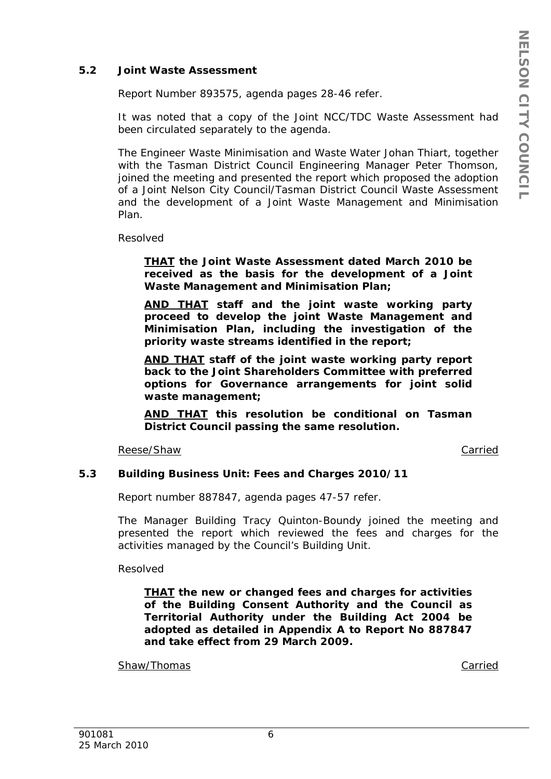### **5.2 Joint Waste Assessment**

Report Number 893575, agenda pages 28-46 refer.

It was noted that a copy of the Joint NCC/TDC Waste Assessment had been circulated separately to the agenda.

The Engineer Waste Minimisation and Waste Water Johan Thiart, together with the Tasman District Council Engineering Manager Peter Thomson, joined the meeting and presented the report which proposed the adoption of a Joint Nelson City Council/Tasman District Council Waste Assessment and the development of a Joint Waste Management and Minimisation Plan.

Resolved

*THAT the Joint Waste Assessment dated March 2010 be received as the basis for the development of a Joint Waste Management and Minimisation Plan;* 

*AND THAT staff and the joint waste working party proceed to develop the joint Waste Management and Minimisation Plan, including the investigation of the priority waste streams identified in the report;* 

*AND THAT staff of the joint waste working party report back to the Joint Shareholders Committee with preferred options for Governance arrangements for joint solid waste management;* 

*AND THAT this resolution be conditional on Tasman District Council passing the same resolution.*

Reese/Shaw Carried

### **5.3 Building Business Unit: Fees and Charges 2010/11**

Report number 887847, agenda pages 47-57 refer.

The Manager Building Tracy Quinton-Boundy joined the meeting and presented the report which reviewed the fees and charges for the activities managed by the Council's Building Unit.

Resolved

*THAT the new or changed fees and charges for activities of the Building Consent Authority and the Council as Territorial Authority under the Building Act 2004 be adopted as detailed in Appendix A to Report No 887847 and take effect from 29 March 2009.* 

Shaw/Thomas Carried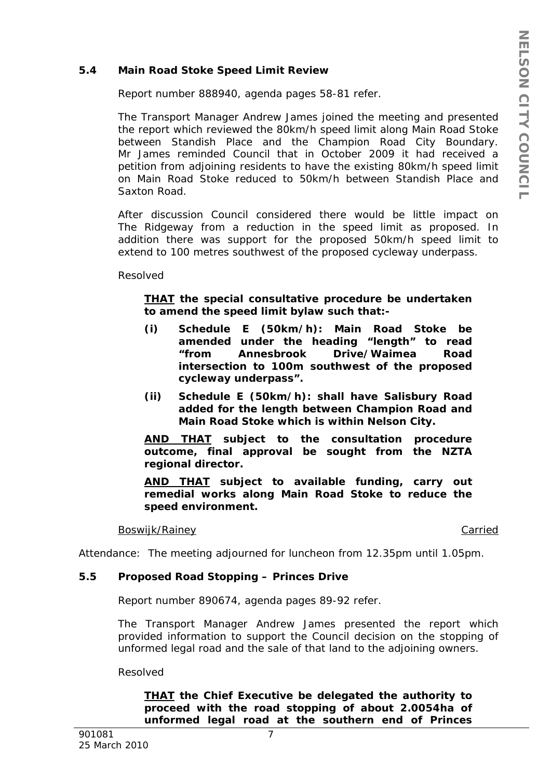### **5.4 Main Road Stoke Speed Limit Review**

Report number 888940, agenda pages 58-81 refer.

The Transport Manager Andrew James joined the meeting and presented the report which reviewed the 80km/h speed limit along Main Road Stoke between Standish Place and the Champion Road City Boundary. Mr James reminded Council that in October 2009 it had received a petition from adjoining residents to have the existing 80km/h speed limit on Main Road Stoke reduced to 50km/h between Standish Place and Saxton Road.

After discussion Council considered there would be little impact on The Ridgeway from a reduction in the speed limit as proposed. In addition there was support for the proposed 50km/h speed limit to extend to 100 metres southwest of the proposed cycleway underpass.

Resolved

## *THAT the special consultative procedure be undertaken to amend the speed limit bylaw such that:-*

- *(i) Schedule E (50km/h): Main Road Stoke be amended under the heading "length" to read "from Annesbrook Drive/Waimea Road intersection to 100m southwest of the proposed cycleway underpass".*
- *(ii) Schedule E (50km/h): shall have Salisbury Road added for the length between Champion Road and Main Road Stoke which is within Nelson City.*

*AND THAT subject to the consultation procedure outcome, final approval be sought from the NZTA regional director.* 

*AND THAT subject to available funding, carry out remedial works along Main Road Stoke to reduce the speed environment.* 

### Boswijk/Rainey **Carried** Carried Carried Carried Carried Carried Carried Carried Carried Carried Carried Carried Carried Carried Carried Carried Carried Carried Carried Carried Carried Carried Carried Carried Carried Carri

Attendance: The meeting adjourned for luncheon from 12.35pm until 1.05pm.

# **5.5 Proposed Road Stopping – Princes Drive**

Report number 890674, agenda pages 89-92 refer.

The Transport Manager Andrew James presented the report which provided information to support the Council decision on the stopping of unformed legal road and the sale of that land to the adjoining owners.

Resolved

*THAT the Chief Executive be delegated the authority to proceed with the road stopping of about 2.0054ha of unformed legal road at the southern end of Princes*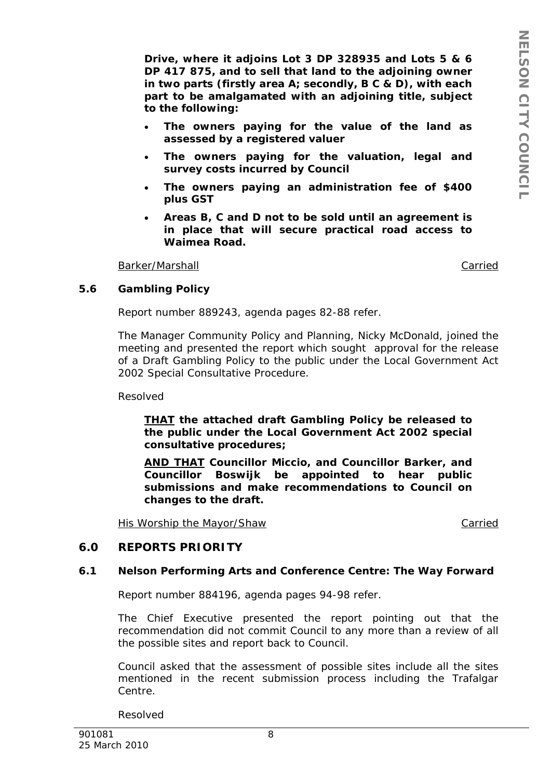*Drive, where it adjoins Lot 3 DP 328935 and Lots 5 & 6 DP 417 875, and to sell that land to the adjoining owner in two parts (firstly area A; secondly, B C & D), with each part to be amalgamated with an adjoining title, subject to the following:* 

- *The owners paying for the value of the land as assessed by a registered valuer*
- *The owners paying for the valuation, legal and survey costs incurred by Council*
- *The owners paying an administration fee of \$400 plus GST*
- *Areas B, C and D not to be sold until an agreement is in place that will secure practical road access to Waimea Road.*

Barker/Marshall Carried

### **5.6 Gambling Policy**

Report number 889243, agenda pages 82-88 refer.

The Manager Community Policy and Planning, Nicky McDonald, joined the meeting and presented the report which sought approval for the release of a Draft Gambling Policy to the public under the Local Government Act 2002 Special Consultative Procedure.

Resolved

*THAT the attached draft Gambling Policy be released to the public under the Local Government Act 2002 special consultative procedures;* 

*AND THAT Councillor Miccio, and Councillor Barker, and Councillor Boswijk be appointed to hear public submissions and make recommendations to Council on changes to the draft.* 

His Worship the Mayor/Shaw Carried Carried

# **6.0 REPORTS PRIORITY**

### **6.1 Nelson Performing Arts and Conference Centre: The Way Forward**

Report number 884196, agenda pages 94-98 refer.

The Chief Executive presented the report pointing out that the recommendation did not commit Council to any more than a review of all the possible sites and report back to Council.

Council asked that the assessment of possible sites include all the sites mentioned in the recent submission process including the Trafalgar Centre.

Resolved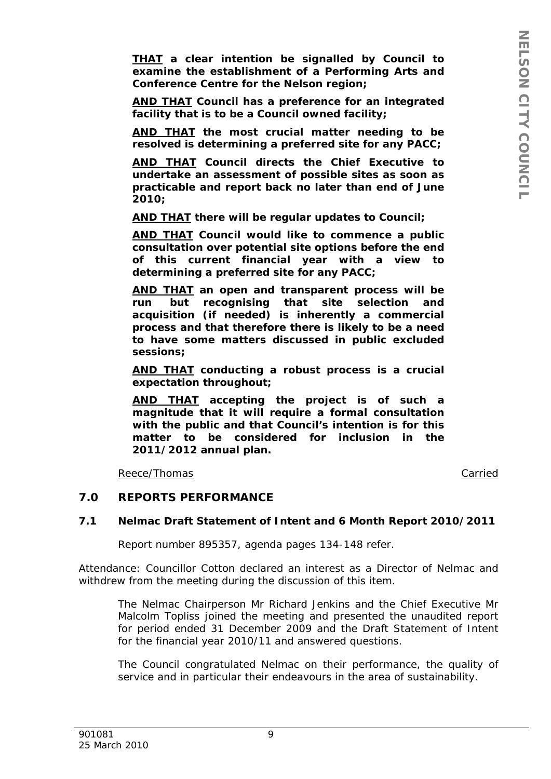*THAT a clear intention be signalled by Council to examine the establishment of a Performing Arts and Conference Centre for the Nelson region;* 

*AND THAT Council has a preference for an integrated facility that is to be a Council owned facility;* 

*AND THAT the most crucial matter needing to be resolved is determining a preferred site for any PACC;* 

*AND THAT Council directs the Chief Executive to undertake an assessment of possible sites as soon as practicable and report back no later than end of June 2010;* 

*AND THAT there will be regular updates to Council;* 

*AND THAT Council would like to commence a public consultation over potential site options before the end of this current financial year with a view to determining a preferred site for any PACC;* 

*AND THAT an open and transparent process will be run but recognising that site selection and acquisition (if needed) is inherently a commercial process and that therefore there is likely to be a need to have some matters discussed in public excluded sessions;* 

*AND THAT conducting a robust process is a crucial expectation throughout;* 

*AND THAT accepting the project is of such a magnitude that it will require a formal consultation with the public and that Council's intention is for this matter to be considered for inclusion in the 2011/2012 annual plan.* 

Reece/Thomas **Carried** 

### **7.0 REPORTS PERFORMANCE**

### **7.1 Nelmac Draft Statement of Intent and 6 Month Report 2010/2011**

Report number 895357, agenda pages 134-148 refer.

Attendance: Councillor Cotton declared an interest as a Director of Nelmac and withdrew from the meeting during the discussion of this item.

The Nelmac Chairperson Mr Richard Jenkins and the Chief Executive Mr Malcolm Topliss joined the meeting and presented the unaudited report for period ended 31 December 2009 and the Draft Statement of Intent for the financial year 2010/11 and answered questions.

The Council congratulated Nelmac on their performance, the quality of service and in particular their endeavours in the area of sustainability.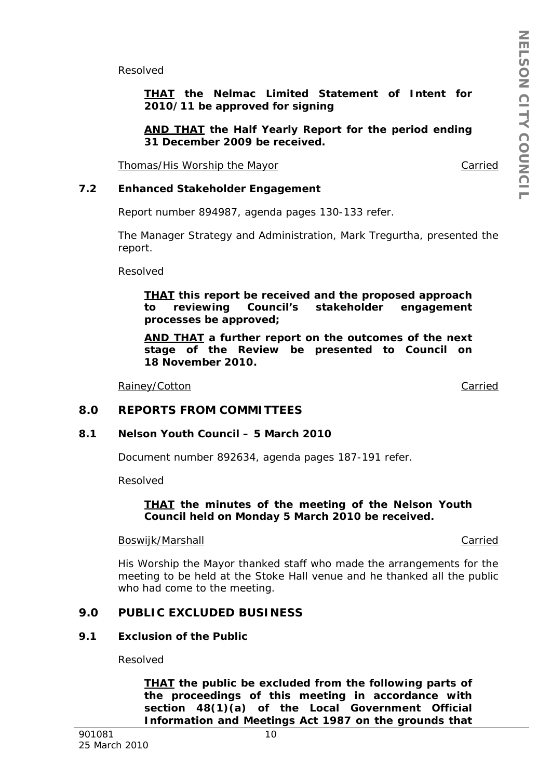Resolved

*THAT the Nelmac Limited Statement of Intent for 2010/11 be approved for signing* 

*AND THAT the Half Yearly Report for the period ending 31 December 2009 be received.* 

Thomas/His Worship the Mayor Carried Carried

### **7.2 Enhanced Stakeholder Engagement**

Report number 894987, agenda pages 130-133 refer.

The Manager Strategy and Administration, Mark Tregurtha, presented the report.

Resolved

*THAT this report be received and the proposed approach to reviewing Council's stakeholder engagement processes be approved;* 

*AND THAT a further report on the outcomes of the next stage of the Review be presented to Council on 18 November 2010.* 

Rainey/Cotton **Carried** Carried Carried Carried Carried Carried Carried Carried Carried Carried Carried Carried Carried Carried Carried Carried Carried Carried Carried Carried Carried Carried Carried Carried Carried Carrie

# **8.0 REPORTS FROM COMMITTEES**

### **8.1 Nelson Youth Council – 5 March 2010**

Document number 892634, agenda pages 187-191 refer.

Resolved

### *THAT the minutes of the meeting of the Nelson Youth Council held on Monday 5 March 2010 be received.*

### Boswijk/Marshall Carried

His Worship the Mayor thanked staff who made the arrangements for the meeting to be held at the Stoke Hall venue and he thanked all the public who had come to the meeting.

# **9.0 PUBLIC EXCLUDED BUSINESS**

### **9.1 Exclusion of the Public**

Resolved

*THAT the public be excluded from the following parts of the proceedings of this meeting in accordance with section 48(1)(a) of the Local Government Official Information and Meetings Act 1987 on the grounds that*